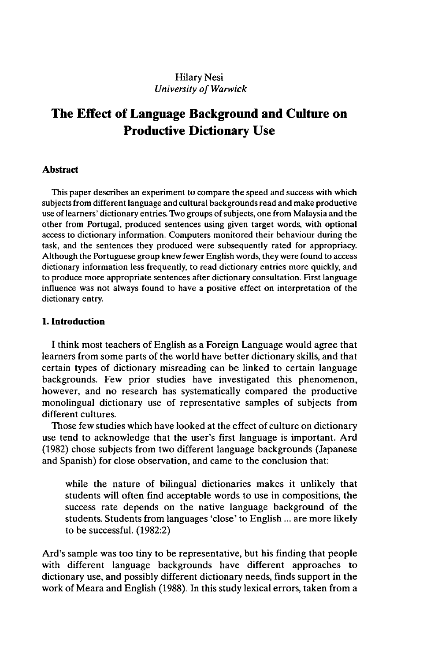## Hilary Nesi *University of Warwick*

# **The Effect of Language Background and Culture on Productive Dictionary Use**

### **Abstract**

This paper describes an experiment to compare the speed and success with which subjects from different language and cultural backgrounds read and make productive use of learners' dictionary entries. Two groups of subjects, one from Malaysia and the other from Portugal, produced sentences using given target words, with optional access to dictionary information. Computers monitored their behaviour during the task, and the sentences they produced were subsequently rated for appropriacy. Although the Portuguese group knew fewer English words, they were found to access dictionary information less frequently, to read dictionary entries more quickly, and to produce more appropriate sentences after dictionary consultation. First language influence was not always found to have a positive effect on interpretation of the dictionary entry.

## **1. Introduction**

**<sup>I</sup>** think most teachers of English as a Foreign Language would agree that learners from some parts of the world have better dictionary skills, and that certain types of dictionary misreading can be linked to certain language backgrounds. Few prior studies have investigated this phenomenon, however, and no research has systematically compared the productive monolingual dictionary use of representative samples of subjects from different cultures.

Those few studies which have looked at the effect of culture on dictionary use tend to acknowledge that the user's first language is important. Ard (1982) chose subjects from two different language backgrounds (Japanese and Spanish) for close observation, and came to the conclusion that:

while the nature of bilingual dictionaries makes it unlikely that students will often find acceptable words to use in compositions, the success rate depends on the native language background of the students. Students from languages 'close' to English ... are more likely to be successful. (1982:2)

Ard's sample was too tiny to be representative, but his finding that people with different language backgrounds have different approaches to dictionary use, and possibly different dictionary needs, finds support in the work of Meara and English (1988). In this study lexical errors, taken from a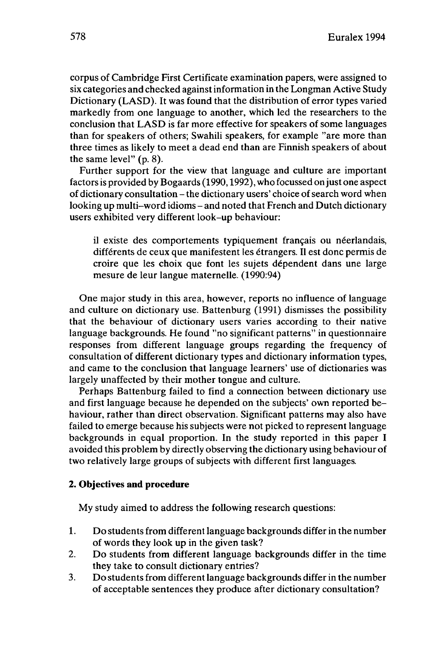corpus of Cambridge First Certificate examination papers, were assigned to six categories and checked againstinformation in the Longman Active Study Dictionary (LASD). It was found that the distribution of error types varied markedly from one language to another, which led the researchers to the conclusion that LASD is far more effective for speakers of some languages than for speakers of others; Swahili speakers, for example "are more than three times as likely to meet a dead end than are Finnish speakers of about the same level" (p. 8).

Further support for the view that language and culture are important factorsis provided by Bogaards (1990,1992), who focussed onjust one aspect of dictionary consultation - the dictionary users' choice of search word when looking up multi-word idioms- and noted that French and Dutch dictionary users exhibited very different look-up behaviour:

il existe des comportements typiquement français ou néerlandais, différents de ceux que manifestent les étrangers. Il est donc permis de croire que les choix que font les sujets dépendent dans une large mesure de leur langue maternelle. (1990:94)

One major study in this area, however, reports no influence of language and culture on dictionary use. Battenburg (1991) dismisses the possibility that the behaviour of dictionary users varies according to their native language backgrounds. He found "no significant patterns" in questionnaire responses from different language groups regarding the frequency of consultation of different dictionary types and dictionary information types, and came to the conclusion that language learners' use of dictionaries was largely unaffected by their mother tongue and culture.

Perhaps Battenburg failed to find a connection between dictionary use and first language because he depended on the subjects' own reported behaviour, rather than direct observation. Significant patterns may also have failed to emerge because his subjects were not picked to represent language backgrounds in equal proportion. In the study reported in this paper I avoided this problem by directly observing the dictionary using behaviour of two relatively large groups of subjects with different first languages.

## **2. Objectives and procedure**

My study aimed to address the following research questions:

- 1. Do students from different language backgrounds differ in the number of words they look up in the given task?
- 2. Do students from different language backgrounds differ in the time they take to consult dictionary entries?
- 3. Do students from different language backgrounds differ in the number of acceptable sentences they produce after dictionary consultation?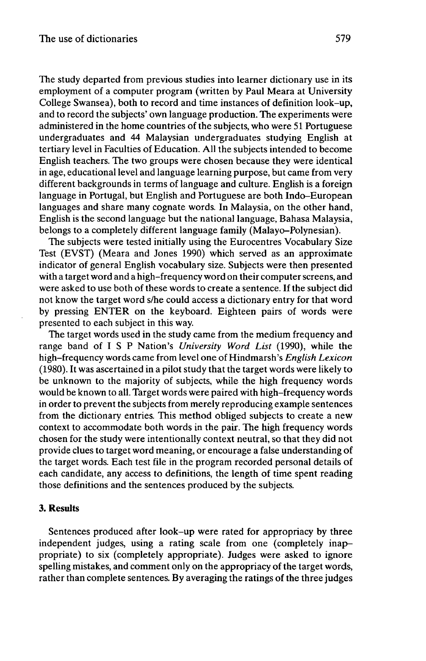The study departed from previous studies into learner dictionary use in its employment of a computer program (written by Paul Meara at University College Swansea), both to record and time instances of definition look-up, and to record the subjects' own language production. The experiments were administered in the home countries of the subjects, who were 51 Portuguese undergraduates and 44 Malaysian undergraduates studying English at tertiary level in Faculties of Education. All the subjects intended to become English teachers. The two groups were chosen because they were identical in age, educational level and language learning purpose, but came from very different backgrounds in terms of language and culture. English is a foreign language in Portugal, but English and Portuguese are both Indo-European languages and share many cognate words. In Malaysia, on the other hand, English is the second language but the national language, Bahasa Malaysia, belongs to a completely different language family (Malayo-Polynesian).

The subjects were tested initially using the Eurocentres Vocabulary Size Test (EVST) (Meara and Jones 1990) which served as an approximate indicator of general English vocabulary size. Subjects were then presented with a target word and a high-frequency word on their computer screens, and were asked to use both of these words to create a sentence. If the subject did not know the target word s/he could access a dictionary entry for that word by pressing ENTER on the keyboard. Eighteen pairs of words were presented to each subject in this way.

The target words used in the study came from the medium frequency and range band of I S P Nation's *University Word List* (1990), while the high-frequency words came from level one of Hindmarsh's *English Lexicon* (1980). It was ascertained in a pilot study that the target words were likely to be unknown to the majority of subjects, while the high frequency words would be known to all. Target words were paired with high-frequency words in order to prevent the subjects from merely reproducing example sentences from the dictionary entries. This method obliged subjects to create a new context to accommodate both words in the pair. The high frequency words chosen for the study were intentionally context neutral, so that they did not provide clues to target word meaning, or encourage a false understanding of the target words. Each test file in the program recorded personal details of each candidate, any access to definitions, the length of time spent reading those definitions and the sentences produced by the subjects.

#### **3. Results**

Sentences produced after look-up were rated for appropriacy by three independent judges, using a rating scale from one (completely inappropriate) to six (completely appropriate). Judges were asked to ignore spelling mistakes, and comment only on the appropriacy of the target words, rather than complete sentences. By averaging the ratings of the three judges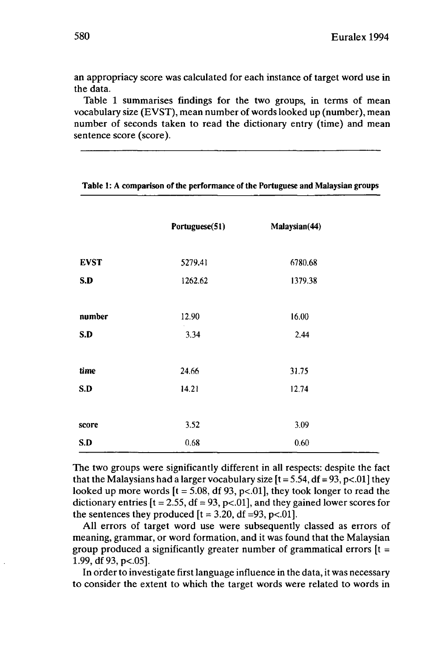an appropriacy score was calculated for each instance of target word use in the data.

Table 1 summarises findings for the two groups, in terms of mean vocabulary size (EVST), mean number of words looked up (number), mean number of seconds taken to read the dictionary entry (time) and mean sentence score (score).

|             | Portuguese(51) | Malaysian(44) |
|-------------|----------------|---------------|
|             |                |               |
| <b>EVST</b> | 5279.41        | 6780.68       |
| S.D         | 1262.62        | 1379.38       |
|             |                |               |
| number      | 12.90          | 16.00         |
| S.D         | 3.34           | 2.44          |
|             |                |               |
| time        | 24.66          | 31.75         |
| S.D         | 14.21          | 12.74         |
|             |                |               |
| score       | 3.52           | 3.09          |
| S.D         | 0.68           | 0.60          |

## Table 1: A comparison of the performance of the Portuguese and Malaysian groups

The two groups were significantly different in all respects: despite the fact that the Malaysians had a larger vocabulary size  $[t = 5.54, df = 93, p < 01]$  they looked up more words  $[t = 5.08, df 93, p < 0.01]$ , they took longer to read the dictionary entries  $[t = 2.55, df = 93, p<0.01]$ , and they gained lower scores for the sentences they produced  $[t = 3.20, df = 93, p < 01]$ .

All errors of target word use were subsequently classed as errors of meaning, grammar, or word formation, and it was found that the Malaysian group produced a significantly greater number of grammatical errors  $[t =$ 1.99,df93,p<.05].

In order to investigate first language influence in the data, it was necessary to consider the extent to which the target words were related to words in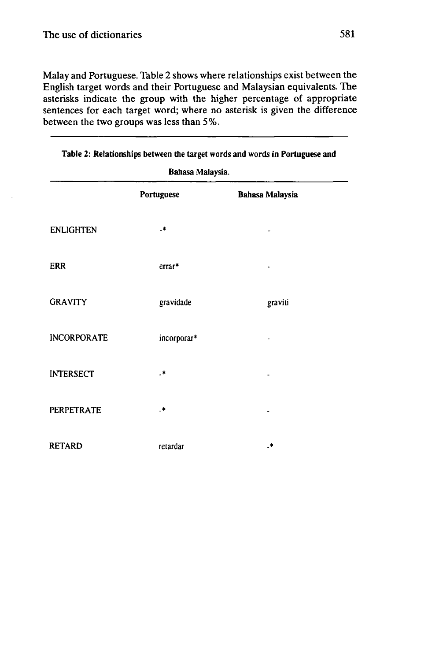Malay and Portuguese. Table 2 shows where relationships exist between the English target words and their Portuguese and Malaysian equivalents. The asterisks indicate the group with the higher percentage of appropriate sentences for each target word; where no asterisk is given the difference between the two groups was less than 5%.

| Bahasa Malaysia.   |             |                        |  |  |
|--------------------|-------------|------------------------|--|--|
|                    | Portuguese  | <b>Bahasa Malaysia</b> |  |  |
| <b>ENLIGHTEN</b>   | $\cdot$     |                        |  |  |
| <b>ERR</b>         | errar*      | ٠                      |  |  |
| <b>GRAVITY</b>     | gravidade   | graviti                |  |  |
| <b>INCORPORATE</b> | incorporar* |                        |  |  |
| <b>INTERSECT</b>   | .*          |                        |  |  |
| <b>PERPETRATE</b>  | .*          |                        |  |  |
| <b>RETARD</b>      | retardar    | .∗                     |  |  |

| Table 2: Relationships between the target words and words in Portuguese and |  |  |  |
|-----------------------------------------------------------------------------|--|--|--|
|                                                                             |  |  |  |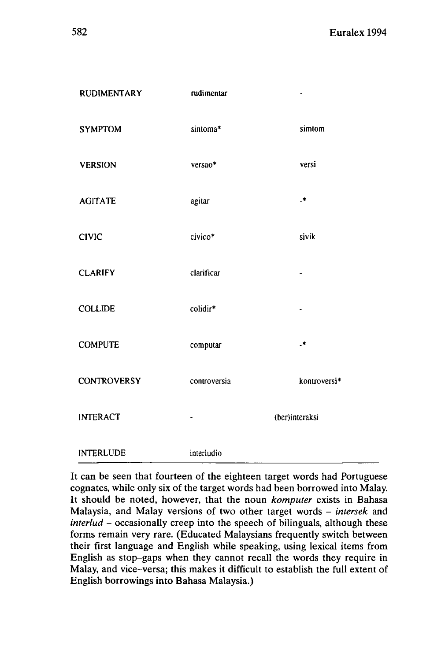| <b>RUDIMENTARY</b> | rudimentar   |                |
|--------------------|--------------|----------------|
| <b>SYMPTOM</b>     | sintoma*     | simtom         |
| <b>VERSION</b>     | versao*      | versi          |
| <b>AGITATE</b>     | agitar       | $\cdot$        |
| <b>CIVIC</b>       | civico*      | sivik          |
| <b>CLARIFY</b>     | clarificar   | -              |
| <b>COLLIDE</b>     | colidir*     | $\blacksquare$ |
| <b>COMPUTE</b>     | computar     | $\cdot$        |
| <b>CONTROVERSY</b> | controversia | kontroversi*   |
| <b>INTERACT</b>    |              | (ber)interaksi |
| <b>INTERLUDE</b>   | interludio   |                |

It can be seen that fourteen of the eighteen target words had Portuguese cognates, while only six of the target words had been borrowed into Malay. It should be noted, however, that the noun *komputer* exists in Bahasa Malaysia, and Malay versions of two other target words - *intersek* and *interlud -* occasionally creep into the speech of bilinguals, although these forms remain very rare. (Educated Malaysians frequently switch between their first language and English while speaking, using lexical items from English as stop-gaps when they cannot recall the words they require in Malay, and vice-versa; this makes it difficult to establish the full extent of English borrowings into Bahasa Malaysia.)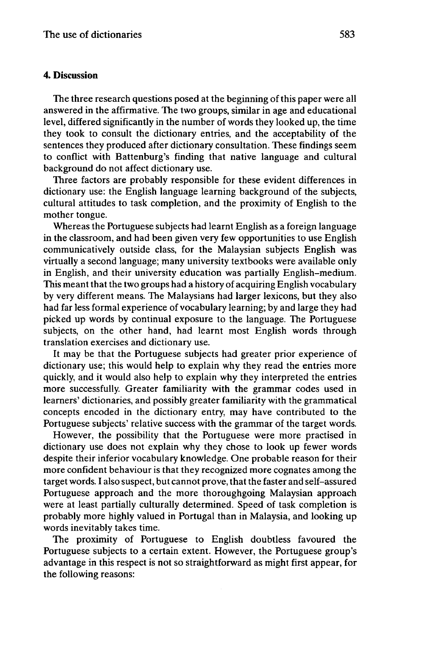## **4. Discussion**

The three research questions posed at the beginning of this paper were all answered in the affirmative. The two groups, similar in age and educational level, differed significantly in the number of words they looked up, the time they took to consult the dictionary entries, and the acceptability of the sentences they produced after dictionary consultation. These findings seem to conflict with Battenburg's finding that native language and cultural background do not affect dictionary use.

Three factors are probably responsible for these evident differences in dictionary use: the English language learning background of the subjects, cultural attitudes to task completion, and the proximity of English to the mother tongue.

Whereas the Portuguese subjects had learnt English as a foreign language in the classroom, and had been given very few opportunities to use English communicatively outside class, for the Malaysian subjects English was virtually a second language; many university textbooks were available only in English, and their university education was partially English-medium. This meant that the two groups had a history of acquiring English vocabulary by very different means. The Malaysians had larger lexicons, but they also had far less formal experience of vocabulary learning; by and large they had picked up words by continual exposure to the language. The Portuguese subjects, on the other hand, had learnt most English words through translation exercises and dictionary use.

It may be that the Portuguese subjects had greater prior experience of dictionary use; this would help to explain why they read the entries more quickly, and it would also help to explain why they interpreted the entries more successfully. Greater familiarity with the grammar codes used in learners' dictionaries, and possibly greater familiarity with the grammatical concepts encoded in the dictionary entry, may have contributed to the Portuguese subjects' relative success with the grammar of the target words.

However, the possibility that the Portuguese were more practised in dictionary use does not explain why they chose to look up fewer words despite their inferior vocabulary knowledge. One probable reason for their more confident behaviour is that they recognized more cognates among the target words. I also suspect, but cannot prove, that the faster and self-assured Portuguese approach and the more thoroughgoing Malaysian approach were at least partially culturally determined. Speed of task completion is probably more highly valued in Portugal than in Malaysia, and looking up words inevitably takes time.

The proximity of Portuguese to English doubtless favoured the Portuguese subjects to a certain extent. However, the Portuguese group's advantage in this respect is not so straightforward as might first appear, for the following reasons: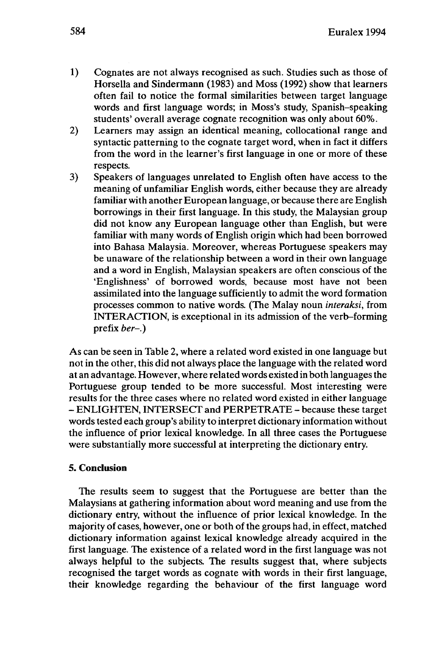- 1) Cognates are not always recognised as such. Studies such as those of Horsella and Sindermann (1983) and Moss (1992) show that learners often fail to notice the formal similarities between target language words and first language words; in Moss's study, Spanish-speaking students' overall average cognate recognition was only about 60%.
- 2) Learners may assign an identical meaning, collocational range and syntactic patterning to the cognate target word, when in fact it differs from the word in the learner's first language in one or more of these respects.
- 3) Speakers of languages unrelated to English often have access to the meaning of unfamiliar English words, either because they are already familiar with another European language, or because there are English borrowings in their first language. In this study, the Malaysian group did not know any European language other than English, but were familiar with many words of English origin which had been borrowed into Bahasa Malaysia. Moreover, whereas Portuguese speakers may be unaware of the relationship between a word in their own language and a word in English, Malaysian speakers are often conscious of the 'Englishness' of borrowed words, because most have not been assimilated into the language sufficiently to admit the word formation processes common to native words. (The Malay noun *interaksi,* from INTERACTION, is exceptional in its admission of the verb-forming prefix *ber-.)*

As can be seen in Table 2, where a related word existed in one language but notin the other, this did not always place the language with the related word at an advantage. However, where related words existed in both languages the Portuguese group tended to be more successful. Most interesting were results for the three cases where no related word existed in either language - ENLIGHTEN, INTERSECT and PERPETRATE - because these target words tested each group's ability to interpret dictionary information without the influence of prior lexical knowledge. In all three cases the Portuguese were substantially more successful at interpreting the dictionary entry.

## **5. Conclusion**

The results seem to suggest that the Portuguese are better than the Malaysians at gathering information about word meaning and use from the dictionary entry, without the influence of prior lexical knowledge. In the majority of cases, however, one or both of the groups had, in effect, matched dictionary information against lexical knowledge already acquired in the first language. The existence of a related word in the first language was not always helpful to the subjects. The results suggest that, where subjects recognised the target words as cognate with words in their first language, their knowledge regarding the behaviour of the first language word